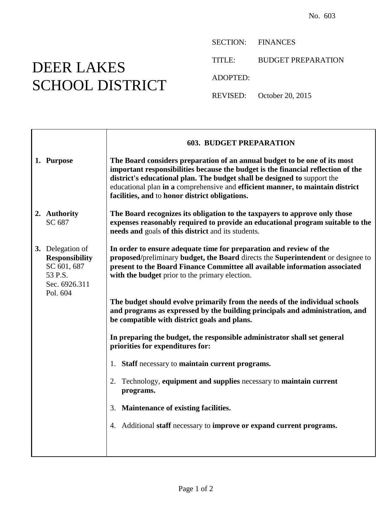## DEER LAKES SCHOOL DISTRICT

 $\top$ 

 $\Gamma$ 

SECTION: FINANCES

TITLE: BUDGET PREPARATION

ADOPTED:

REVISED: October 20, 2015

|                                                                                      | <b>603. BUDGET PREPARATION</b>                                                                                                                                                                                                                                                                                                                                                |
|--------------------------------------------------------------------------------------|-------------------------------------------------------------------------------------------------------------------------------------------------------------------------------------------------------------------------------------------------------------------------------------------------------------------------------------------------------------------------------|
| 1. Purpose                                                                           | The Board considers preparation of an annual budget to be one of its most<br>important responsibilities because the budget is the financial reflection of the<br>district's educational plan. The budget shall be designed to support the<br>educational plan in a comprehensive and efficient manner, to maintain district<br>facilities, and to honor district obligations. |
| 2. Authority<br>SC 687                                                               | The Board recognizes its obligation to the taxpayers to approve only those<br>expenses reasonably required to provide an educational program suitable to the<br>needs and goals of this district and its students.                                                                                                                                                            |
| 3. Delegation of<br><b>Responsibility</b><br>SC 601, 687<br>53 P.S.<br>Sec. 6926.311 | In order to ensure adequate time for preparation and review of the<br>proposed/preliminary budget, the Board directs the Superintendent or designee to<br>present to the Board Finance Committee all available information associated<br>with the budget prior to the primary election.                                                                                       |
| Pol. 604                                                                             | The budget should evolve primarily from the needs of the individual schools<br>and programs as expressed by the building principals and administration, and<br>be compatible with district goals and plans.                                                                                                                                                                   |
|                                                                                      | In preparing the budget, the responsible administrator shall set general<br>priorities for expenditures for:                                                                                                                                                                                                                                                                  |
|                                                                                      | 1. Staff necessary to maintain current programs.                                                                                                                                                                                                                                                                                                                              |
|                                                                                      | Technology, equipment and supplies necessary to maintain current<br>2.<br>programs.                                                                                                                                                                                                                                                                                           |
|                                                                                      | 3. Maintenance of existing facilities.                                                                                                                                                                                                                                                                                                                                        |
|                                                                                      | 4. Additional staff necessary to improve or expand current programs.                                                                                                                                                                                                                                                                                                          |
|                                                                                      |                                                                                                                                                                                                                                                                                                                                                                               |